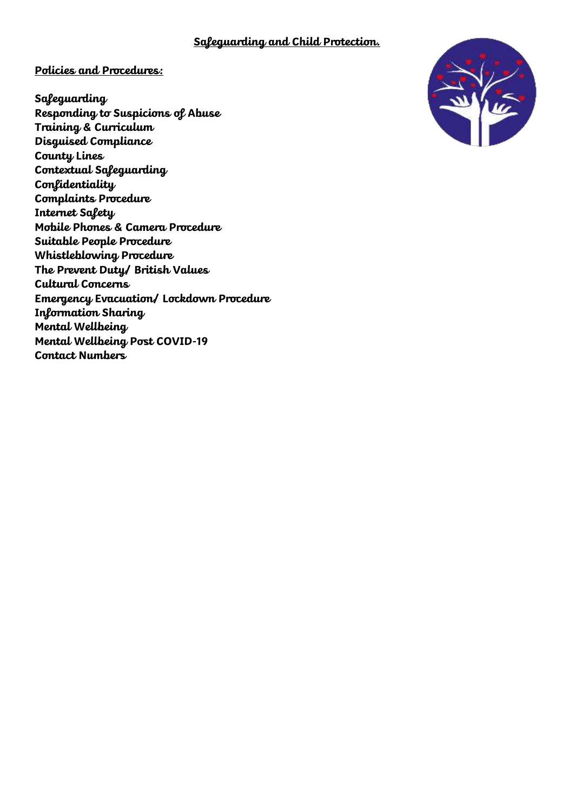### **Safeguarding and Child Protection.**

### **Policies and Procedures:**

**Safeguarding Responding to Suspicions of Abuse Training & Curriculum Disguised Compliance County Lines Contextual Safeguarding Confidentiality Complaints Procedure Internet Safety Mobile Phones & Camera Procedure Suitable People Procedure Whistleblowing Procedure The Prevent Duty/ British Values Cultural Concerns Emergency Evacuation/ Lockdown Procedure Information Sharing Mental Wellbeing Mental Wellbeing Post COVID-19 Contact Numbers**

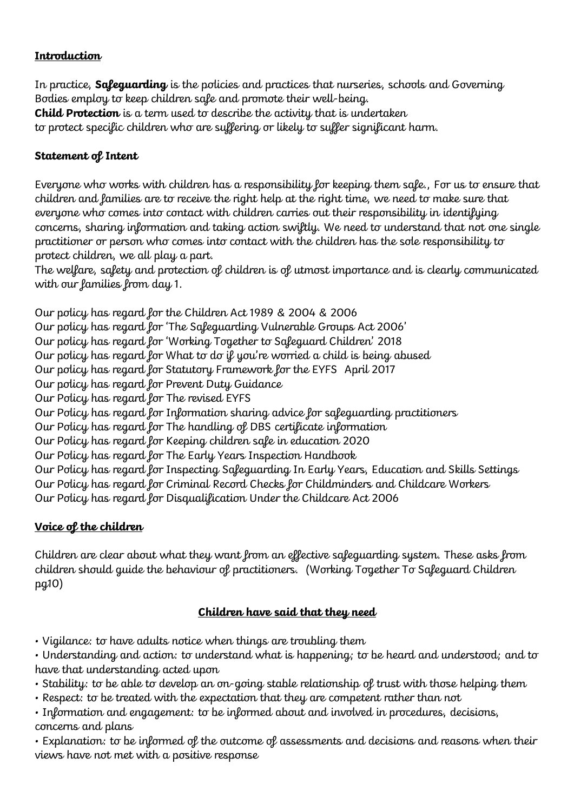# **Introduction**

In practice, **Safeguarding** is the policies and practices that nurseries, schools and Governing Bodies employ to keep children safe and promote their well-being. **Child Protection** is a term used to describe the activity that is undertaken to protect specific children who are suffering or likely to suffer significant harm.

# **Statement of Intent**

Everyone who works with children has a responsibility for keeping them safe., For us to ensure that children and families are to receive the right help at the right time, we need to make sure that everyone who comes into contact with children carries out their responsibility in identifying concerns, sharing information and taking action swiftly. We need to understand that not one single practitioner or person who comes into contact with the children has the sole responsibility to protect children, we all play a part.

The welfare, safety and protection of children is of utmost importance and is clearly communicated with our families from day 1.

Our policy has regard for the Children Act 1989 & 2004 & 2006 Our policy has regard for 'The Safeguarding Vulnerable Groups Act 2006' Our policy has regard for 'Working Together to Safeguard Children' 2018 Our policy has regard for What to do if you're worried a child is being abused Our policy has regard for Statutory Framework for the EYFS April 2017 Our policy has regard for Prevent Duty Guidance Our Policy has regard for The revised EYFS Our Policy has regard for Information sharing advice for safeguarding practitioners Our Policy has regard for The handling of DBS certificate information Our Policy has regard for Keeping children safe in education 2020 Our Policy has regard for The Early Years Inspection Handbook Our Policy has regard for Inspecting Safeguarding In Early Years, Education and Skills Settings Our Policy has regard for Criminal Record Checks for Childminders and Childcare Workers Our Policy has regard for Disqualification Under the Childcare Act 2006

# **Voice of the children**

Children are clear about what they want from an effective safeguarding system. These asks from children should guide the behaviour of practitioners. (Working Together To Safeguard Children pg10)

# **Children have said that they need**

• Vigilance: to have adults notice when things are troubling them

• Understanding and action: to understand what is happening; to be heard and understood; and to have that understanding acted upon

- Stability: to be able to develop an on-going stable relationship of trust with those helping them
- Respect: to be treated with the expectation that they are competent rather than not

• Information and engagement: to be informed about and involved in procedures, decisions, concerns and plans

• Explanation: to be informed of the outcome of assessments and decisions and reasons when their views have not met with a positive response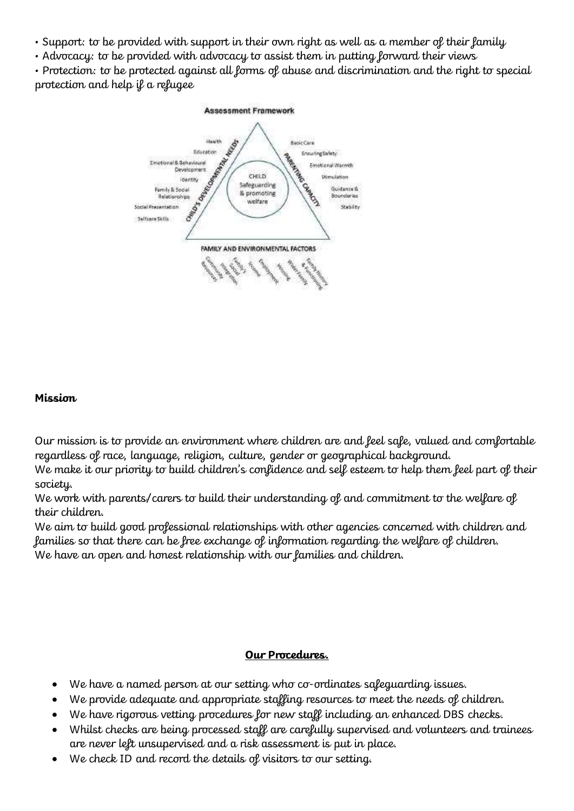- Support: to be provided with support in their own right as well as a member of their family
- Advocacy: to be provided with advocacy to assist them in putting forward their views

• Protection: to be protected against all forms of abuse and discrimination and the right to special protection and help if a refugee



### **Mission**

Our mission is to provide an environment where children are and feel safe, valued and comfortable regardless of race, language, religion, culture, gender or geographical background.

We make it our priority to build children's confidence and self esteem to help them feel part of their society.

We work with parents/carers to build their understanding of and commitment to the welfare of their children.

We aim to build good professional relationships with other agencies concerned with children and families so that there can be free exchange of information regarding the welfare of children. We have an open and honest relationship with our families and children.

### **Our Procedures.**

- We have a named person at our setting who co-ordinates safeguarding issues.
- We provide adequate and appropriate staffing resources to meet the needs of children.
- We have rigorous vetting procedures for new staff including an enhanced DBS checks.
- Whilst checks are being processed staff are carefully supervised and volunteers and trainees are never left unsupervised and a risk assessment is put in place.
- We check ID and record the details of visitors to our setting.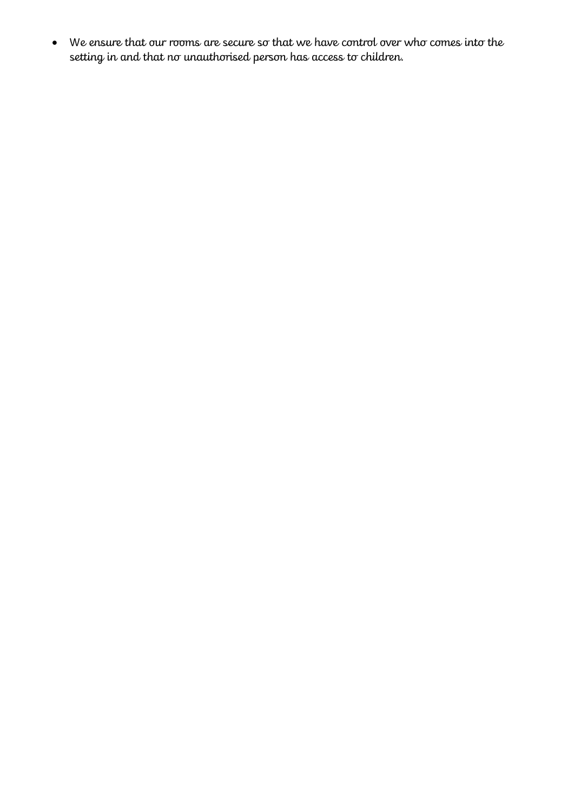• We ensure that our rooms are secure so that we have control over who comes into the setting in and that no unauthorised person has access to children.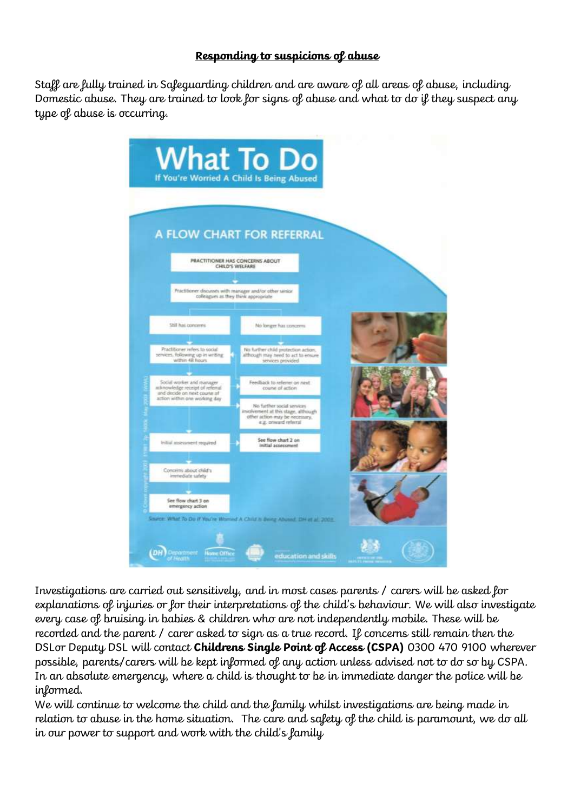## **Responding to suspicions of abuse**

Staff are fully trained in Safeguarding children and are aware of all areas of abuse, including Domestic abuse. They are trained to look for signs of abuse and what to do if they suspect any type of abuse is occurring.



Investigations are carried out sensitively, and in most cases parents / carers will be asked for explanations of injuries or for their interpretations of the child's behaviour. We will also investigate every case of bruising in babies & children who are not independently mobile. These will be recorded and the parent / carer asked to sign as a true record. If concerns still remain then the DSLor Deputy DSL will contact **Childrens Single Point of Access (CSPA)** 0300 470 9100 wherever possible, parents/carers will be kept informed of any action unless advised not to do so by CSPA. In an absolute emergency, where a child is thought to be in immediate danger the police will be informed.

We will continue to welcome the child and the family whilst investigations are being made in relation to abuse in the home situation. The care and safety of the child is paramount, we do all in our power to support and work with the child's family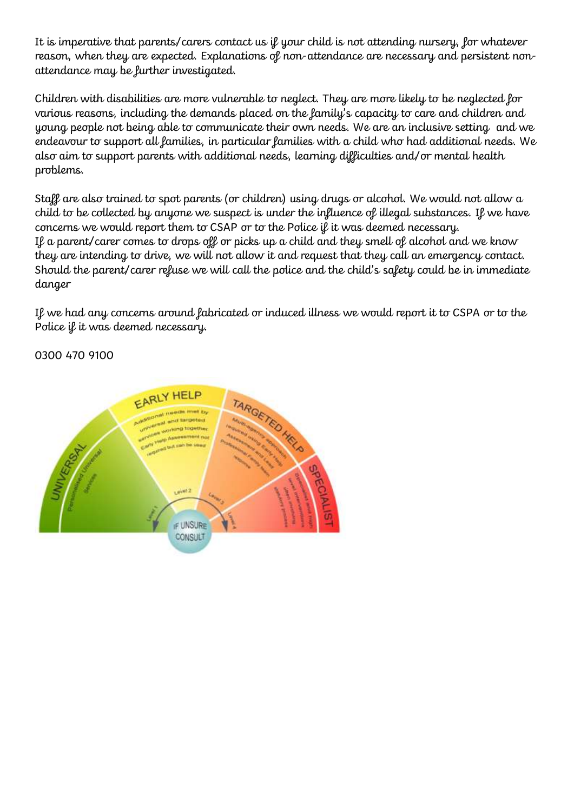It is imperative that parents/carers contact us if your child is not attending nursery, for whatever reason, when they are expected. Explanations of non-attendance are necessary and persistent nonattendance may be further investigated.

Children with disabilities are more vulnerable to neglect. They are more likely to be neglected for various reasons, including the demands placed on the family's capacity to care and children and young people not being able to communicate their own needs. We are an inclusive setting and we endeavour to support all families, in particular families with a child who had additional needs. We also aim to support parents with additional needs, learning difficulties and/or mental health problems.

Staff are also trained to spot parents (or children) using drugs or alcohol. We would not allow a child to be collected by anyone we suspect is under the influence of illegal substances. If we have concerns we would report them to CSAP or to the Police if it was deemed necessary. If a parent/carer comes to drops off or picks up a child and they smell of alcohol and we know they are intending to drive, we will not allow it and request that they call an emergency contact. Should the parent/carer refuse we will call the police and the child's safety could be in immediate danger

If we had any concerns around fabricated or induced illness we would report it to CSPA or to the Police if it was deemed necessary.

0300 470 9100

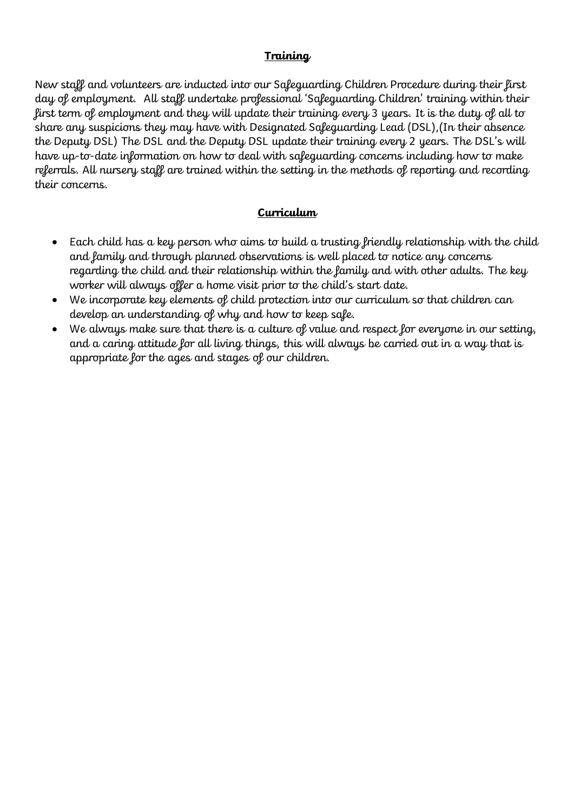## **Training**

New staff and volunteers are inducted into our Safeguarding Children Procedure during their first day of employment. All staff undertake professional 'Safeguarding Children' training within their first term of employment and they will update their training every 3 years. It is the duty of all to share any suspicions they may have with Designated Safeguarding Lead (DSL),(In their absence the Deputy DSL) The DSL and the Deputy DSL update their training every 2 years. The DSL's will have up-to-date information on how to deal with safeguarding concerns including how to make referrals. All nursery staff are trained within the setting in the methods of reporting and recording their concerns.

# **Curriculum**

- Each child has a key person who aims to build a trusting friendly relationship with the child and family and through planned observations is well placed to notice any concerns regarding the child and their relationship within the family and with other adults. The key worker will always offer a home visit prior to the child's start date.
- We incorporate key elements of child protection into our curriculum so that children can develop an understanding of why and how to keep safe.
- We always make sure that there is a culture of value and respect for everyone in our setting, and a caring attitude for all living things, this will always be carried out in a way that is appropriate for the ages and stages of our children.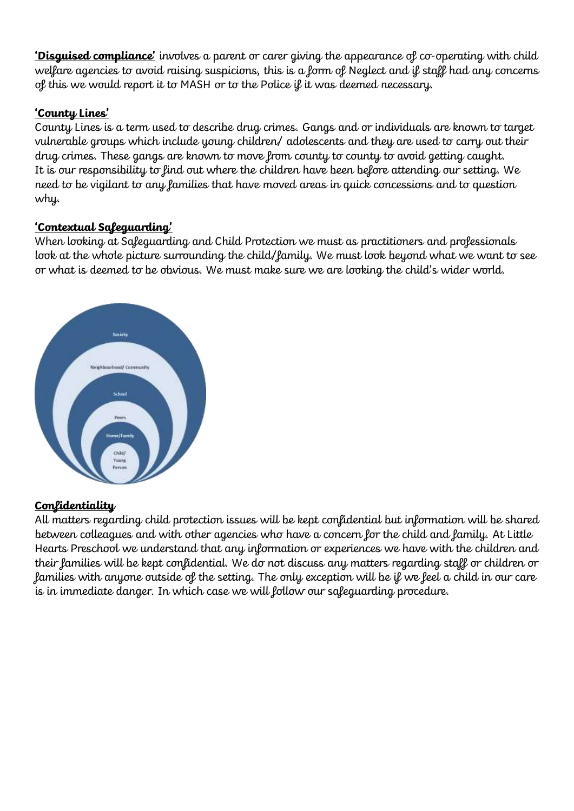**'Disguised compliance'** involves a parent or carer giving the appearance of co-operating with child welfare agencies to avoid raising suspicions, this is a form of Neglect and if staff had any concerns of this we would report it to MASH or to the Police if it was deemed necessary.

# **'County Lines'**

County Lines is a term used to describe drug crimes. Gangs and or individuals are known to target vulnerable groups which include young children/ adolescents and they are used to carry out their drug crimes. These gangs are known to move from county to county to avoid getting caught. It is our responsibility to find out where the children have been before attending our setting. We need to be vigilant to any families that have moved areas in quick concessions and to question why.

# **'Contextual Safeguarding'**

When looking at Safeguarding and Child Protection we must as practitioners and professionals look at the whole picture surrounding the child/family. We must look beyond what we want to see or what is deemed to be obvious. We must make sure we are looking the child's wider world.



## **Confidentiality**

All matters regarding child protection issues will be kept confidential but information will be shared between colleagues and with other agencies who have a concern for the child and family. At Little Hearts Preschool we understand that any information or experiences we have with the children and their families will be kept confidential. We do not discuss any matters regarding staff or children or families with anyone outside of the setting. The only exception will be if we feel a child in our care is in immediate danger. In which case we will follow our safeguarding procedure.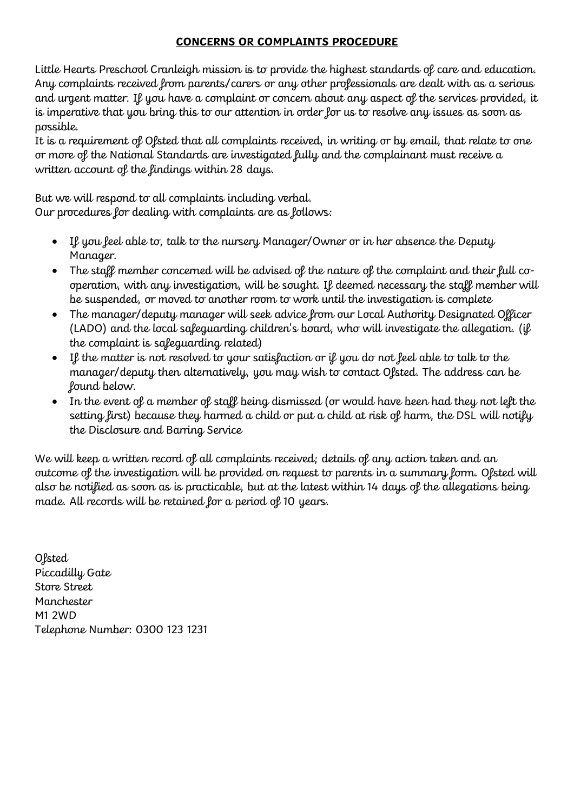### **CONCERNS OR COMPLAINTS PROCEDURE**

Little Hearts Preschool Cranleigh mission is to provide the highest standards of care and education. Any complaints received from parents/carers or any other professionals are dealt with as a serious and urgent matter. If you have a complaint or concern about any aspect of the services provided, it is imperative that you bring this to our attention in order for us to resolve any issues as soon as possible.

It is a requirement of Ofsted that all complaints received, in writing or by email, that relate to one or more of the National Standards are investigated fully and the complainant must receive a written account of the findings within 28 days.

But we will respond to all complaints including verbal. Our procedures for dealing with complaints are as follows:

- If you feel able to, talk to the nursery Manager/Owner or in her absence the Deputy Manager.
- The staff member concerned will be advised of the nature of the complaint and their full cooperation, with any investigation, will be sought. If deemed necessary the staff member will be suspended, or moved to another room to work until the investigation is complete
- The manager/deputy manager will seek advice from our Local Authority Designated Officer (LADO) and the local safeguarding children's board, who will investigate the allegation. (if the complaint is safeguarding related)
- If the matter is not resolved to your satisfaction or if you do not feel able to talk to the manager/deputy then alternatively, you may wish to contact Ofsted. The address can be found below.
- In the event of a member of staff being dismissed (or would have been had they not left the setting first) because they harmed a child or put a child at risk of harm, the DSL will notify the Disclosure and Barring Service

We will keep a written record of all complaints received; details of any action taken and an outcome of the investigation will be provided on request to parents in a summary form. Ofsted will also be notified as soon as is practicable, but at the latest within 14 days of the allegations being made. All records will be retained for a period of 10 years.

**Ofsted** Piccadilly Gate Store Street Manchester M1 2WD Telephone Number: 0300 123 1231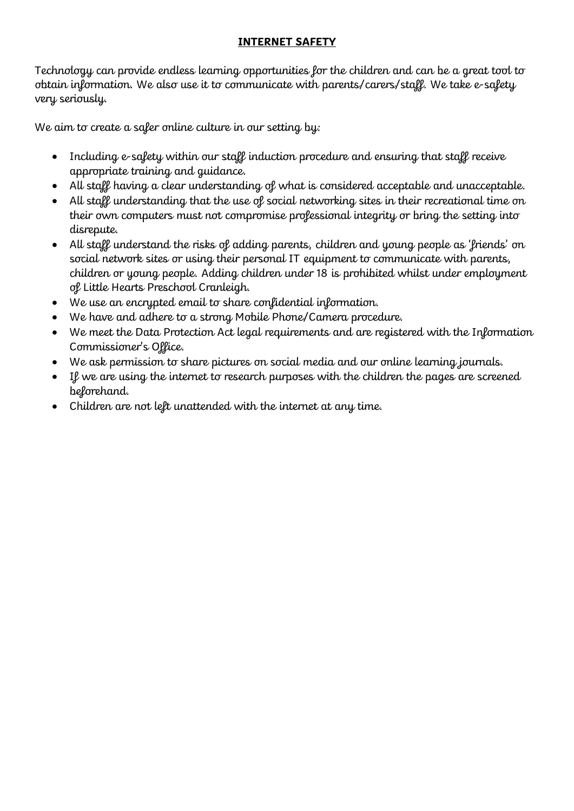## **INTERNET SAFETY**

Technology can provide endless learning opportunities for the children and can be a great tool to obtain information. We also use it to communicate with parents/carers/staff. We take e-safety very seriously.

We aim to create a safer online culture in our setting by:

- Including e-safety within our staff induction procedure and ensuring that staff receive appropriate training and guidance.
- All staff having a clear understanding of what is considered acceptable and unacceptable.
- All staff understanding that the use of social networking sites in their recreational time on their own computers must not compromise professional integrity or bring the setting into disrepute.
- All staff understand the risks of adding parents, children and young people as 'friends' on social network sites or using their personal IT equipment to communicate with parents, children or young people. Adding children under 18 is prohibited whilst under employment of Little Hearts Preschool Cranleigh.
- We use an encrypted email to share confidential information.
- We have and adhere to a strong Mobile Phone/Camera procedure.
- We meet the Data Protection Act legal requirements and are registered with the Information Commissioner's Office.
- We ask permission to share pictures on social media and our online learning journals.
- If we are using the internet to research purposes with the children the pages are screened beforehand.
- Children are not left unattended with the internet at any time.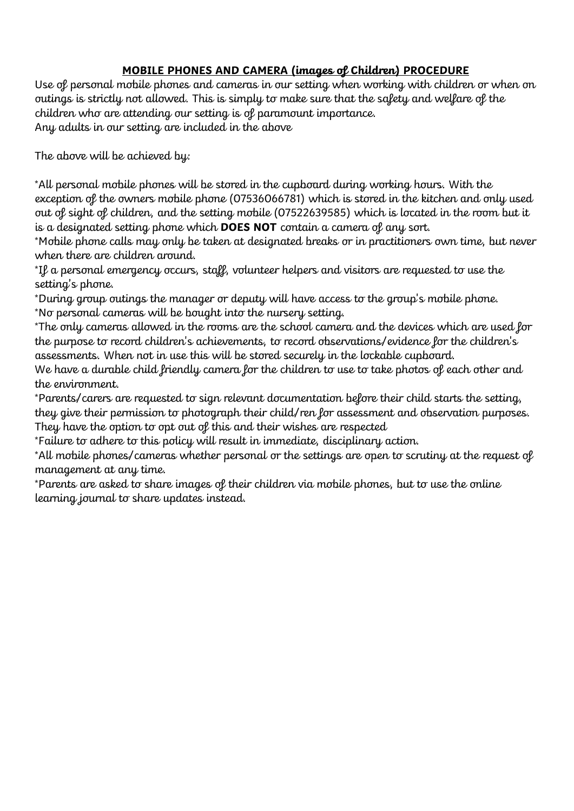# **MOBILE PHONES AND CAMERA (images of Children) PROCEDURE**

Use of personal mobile phones and cameras in our setting when working with children or when on outings is strictly not allowed. This is simply to make sure that the safety and welfare of the children who are attending our setting is of paramount importance. Any adults in our setting are included in the above

The above will be achieved by:

\*All personal mobile phones will be stored in the cupboard during working hours. With the exception of the owners mobile phone (07536066781) which is stored in the kitchen and only used out of sight of children, and the setting mobile (07522639585) which is located in the room but it is a designated setting phone which **DOES NOT** contain a camera of any sort.

\*Mobile phone calls may only be taken at designated breaks or in practitioners own time, but never when there are children around.

\*If a personal emergency occurs, staff, volunteer helpers and visitors are requested to use the setting's phone.

\*During group outings the manager or deputy will have access to the group's mobile phone. \*No personal cameras will be bought into the nursery setting.

\*The only cameras allowed in the rooms are the school camera and the devices which are used for the purpose to record children's achievements, to record observations/evidence for the children's assessments. When not in use this will be stored securely in the lockable cupboard.

We have a durable child friendly camera for the children to use to take photos of each other and the environment.

\*Parents/carers are requested to sign relevant documentation before their child starts the setting, they give their permission to photograph their child/ren for assessment and observation purposes. They have the option to opt out of this and their wishes are respected

\*Failure to adhere to this policy will result in immediate, disciplinary action.

\*All mobile phones/cameras whether personal or the settings are open to scrutiny at the request of management at any time.

\*Parents are asked to share images of their children via mobile phones, but to use the online learning journal to share updates instead.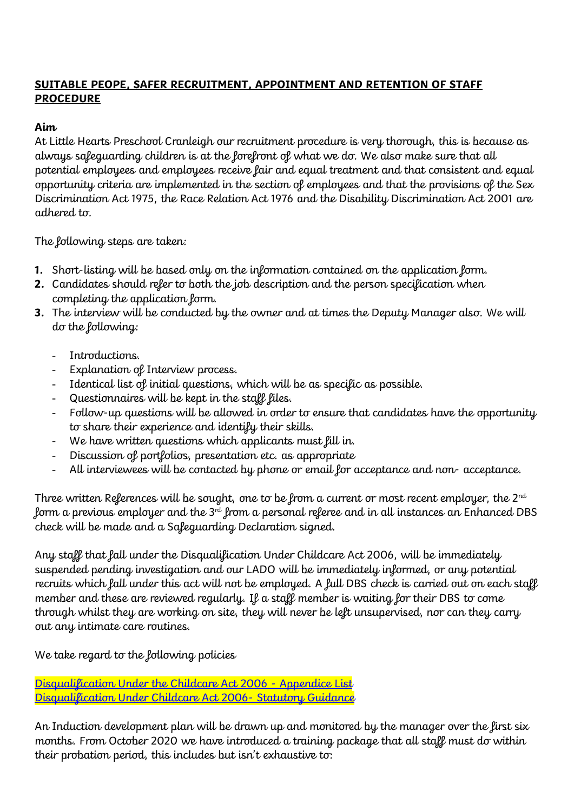# **SUITABLE PEOPE, SAFER RECRUITMENT, APPOINTMENT AND RETENTION OF STAFF PROCEDURE**

## **Aim**

At Little Hearts Preschool Cranleigh our recruitment procedure is very thorough, this is because as always safeguarding children is at the forefront of what we do. We also make sure that all potential employees and employees receive fair and equal treatment and that consistent and equal opportunity criteria are implemented in the section of employees and that the provisions of the Sex Discrimination Act 1975, the Race Relation Act 1976 and the Disability Discrimination Act 2001 are adhered to.

The following steps are taken:

- **1.** Short-listing will be based only on the information contained on the application form.
- **2.** Candidates should refer to both the job description and the person specification when completing the application form.
- **3.** The interview will be conducted by the owner and at times the Deputy Manager also. We will do the following:
	- Introductions.
	- Explanation of Interview process.
	- Identical list of initial questions, which will be as specific as possible.
	- Questionnaires will be kept in the staff files.
	- Follow-up questions will be allowed in order to ensure that candidates have the opportunity to share their experience and identify their skills.
	- We have written questions which applicants must fill in.
	- Discussion of portfolios, presentation etc. as appropriate
	- All interviewees will be contacted by phone or email for acceptance and non- acceptance.

Three written References will be sought, one to be from a current or most recent employer, the 2<sup>nd</sup> form a previous employer and the 3 $^{\text{rd}}$  from a personal referee and in all instances an Enhanced DBS check will be made and a Safeguarding Declaration signed.

Any staff that fall under the Disqualification Under Childcare Act 2006, will be immediately suspended pending investigation and our LADO will be immediately informed, or any potential recruits which fall under this act will not be employed. A full DBS check is carried out on each staff member and these are reviewed regularly. If a staff member is waiting for their DBS to come through whilst they are working on site, they will never be left unsupervised, nor can they carry out any intimate care routines.

We take regard to the following policies

[Disqualification Under the Childcare Act 2006 -](https://assets.publishing.service.gov.uk/government/uploads/system/uploads/attachment_data/file/741597/APPENDICES-Disqualification_under_the_childcare_act_statguidance__4_.pdf) Appendice List [Disqualification Under Childcare Act 2006-](https://www.gov.uk/government/publications/disqualification-under-the-childcare-act-2006/disqualification-under-the-childcare-act-2006) Statutory Guidance

An Induction development plan will be drawn up and monitored by the manager over the first six months. From October 2020 we have introduced a training package that all staff must do within their probation period, this includes but isn't exhaustive to: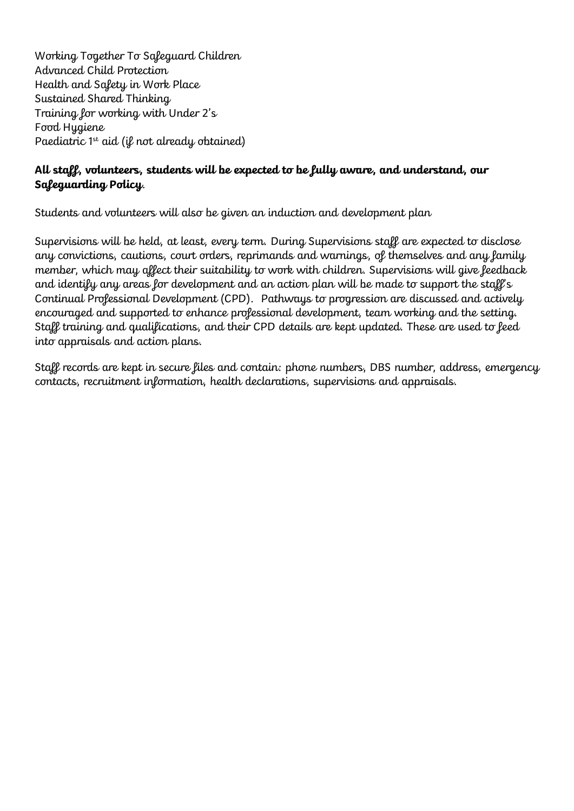Working Together To Safeguard Children Advanced Child Protection Health and Safety in Work Place Sustained Shared Thinking Training for working with Under 2's Food Hygiene Paediatric  $1^{st}$  aid (if not already obtained)

## **All staff, volunteers, students will be expected to be fully aware, and understand, our Safeguarding Policy**.

Students and volunteers will also be given an induction and development plan

Supervisions will be held, at least, every term. During Supervisions staff are expected to disclose any convictions, cautions, court orders, reprimands and warnings, of themselves and any family member, which may affect their suitability to work with children. Supervisions will give feedback and identify any areas for development and an action plan will be made to support the staff's Continual Professional Development (CPD). Pathways to progression are discussed and actively encouraged and supported to enhance professional development, team working and the setting. Staff training and qualifications, and their CPD details are kept updated. These are used to feed into appraisals and action plans.

Staff records are kept in secure files and contain: phone numbers, DBS number, address, emergency contacts, recruitment information, health declarations, supervisions and appraisals.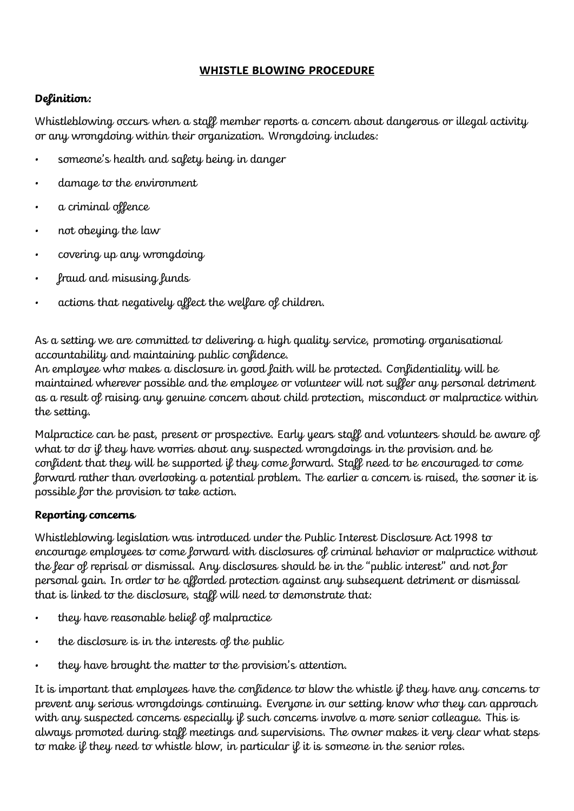### **WHISTLE BLOWING PROCEDURE**

# **Definition:**

Whistleblowing occurs when a staff member reports a concern about dangerous or illegal activity or any wrongdoing within their organization. Wrongdoing includes:

- someone's health and safety being in danger
- damage to the environment
- a criminal offence
- not obeying the law
- covering up any wrongdoing
- fraud and misusing funds
- actions that negatively affect the welfare of children.

As a setting we are committed to delivering a high quality service, promoting organisational accountability and maintaining public confidence.

An employee who makes a disclosure in good faith will be protected. Confidentiality will be maintained wherever possible and the employee or volunteer will not suffer any personal detriment as a result of raising any genuine concern about child protection, misconduct or malpractice within the setting.

Malpractice can be past, present or prospective. Early years staff and volunteers should be aware of what to do if they have worries about any suspected wrongdoings in the provision and be confident that they will be supported if they come forward. Staff need to be encouraged to come forward rather than overlooking a potential problem. The earlier a concern is raised, the sooner it is possible for the provision to take action.

## **Reporting concerns**

Whistleblowing legislation was introduced under the Public Interest Disclosure Act 1998 to encourage employees to come forward with disclosures of criminal behavior or malpractice without the fear of reprisal or dismissal. Any disclosures should be in the "public interest" and not for personal gain. In order to be afforded protection against any subsequent detriment or dismissal that is linked to the disclosure, staff will need to demonstrate that:

- they have reasonable belief of malpractice
- the disclosure is in the interests of the public
- they have brought the matter to the provision's attention.

It is important that employees have the confidence to blow the whistle  $\mathfrak g$  they have any concerns to prevent any serious wrongdoings continuing. Everyone in our setting know who they can approach with any suspected concerns especially if such concerns involve a more senior colleague. This is always promoted during staff meetings and supervisions. The owner makes it very clear what steps to make if they need to whistle blow, in particular if it is someone in the senior roles.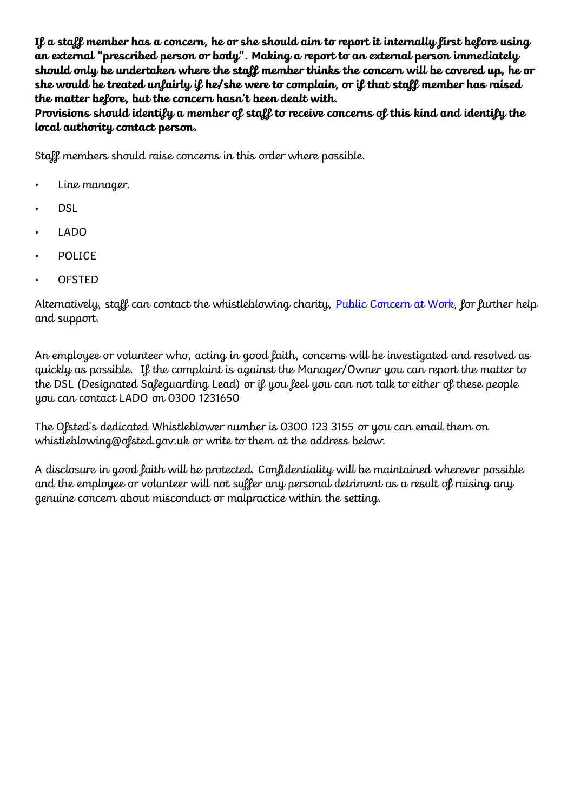**If a staff member has a concern, he or she should aim to report it internally first before using an external "prescribed person or body". Making a report to an external person immediately should only be undertaken where the staff member thinks the concern will be covered up, he or she would be treated unfairly if he/she were to complain, or if that staff member has raised the matter before, but the concern hasn't been dealt with.**

**Provisions should identify a member of staff to receive concerns of this kind and identify the local authority contact person.**

Staff members should raise concerns in this order where possible.

- Line manager.
- DSL
- LADO
- POLICE
- OFSTED

Alternatively, staff can contact the whistleblowing charity, **Public Concern at Work**, for further help and support.

An employee or volunteer who, acting in good faith, concerns will be investigated and resolved as quickly as possible. If the complaint is against the Manager/Owner you can report the matter to the DSL (Designated Safeguarding Lead) or if you feel you can not talk to either of these people you can contact LADO on 0300 1231650

The Ofsted's dedicated Whistleblower number is 0300 123 3155 or you can email them on [whistleblowing@ofsted.gov.uk](mailto:whistleblowing@ofsted.gov.uk) or write to them at the address below.

A disclosure in good faith will be protected. Confidentiality will be maintained wherever possible and the employee or volunteer will not suffer any personal detriment as a result of raising any genuine concern about misconduct or malpractice within the setting.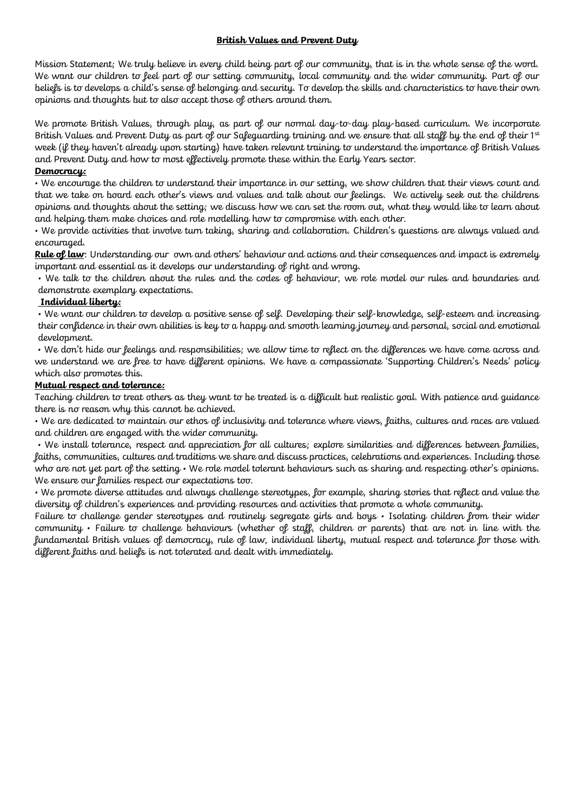#### **British Values and Prevent Duty**

Mission Statement; We truly believe in every child being part of our community, that is in the whole sense of the word. We want our children to feel part of our setting community, local community and the wider community. Part of our beliefs is to develops a child's sense of belonging and security. To develop the skills and characteristics to have their own opinions and thoughts but to also accept those of others around them.

We promote British Values, through play, as part of our normal day-to-day play-based curriculum. We incorporate British Values and Prevent Duty as part of our Safeguarding training and we ensure that all staff by the end of their 1st week (if they haven't already upon starting) have taken relevant training to understand the importance of British Values and Prevent Duty and how to most effectively promote these within the Early Years sector.

#### **Democracy:**

• We encourage the children to understand their importance in our setting, we show children that their views count and that we take on board each other's views and values and talk about our feelings. We actively seek out the childrens opinions and thoughts about the setting; we discuss how we can set the room out, what they would like to learn about and helping them make choices and role modelling how to compromise with each other.

• We provide activities that involve turn taking, sharing and collaboration. Children's questions are always valued and encouraged.

**Rule of law**: Understanding our own and others' behaviour and actions and their consequences and impact is extremely important and essential as it develops our understanding of right and wrong.

• We talk to the children about the rules and the codes of behaviour, we role model our rules and boundaries and demonstrate exemplary expectations.

#### **Individual liberty:**

• We want our children to develop a positive sense of self. Developing their self-knowledge, self-esteem and increasing their confidence in their own abilities is key to a happy and smooth learning journey and personal, social and emotional development.

• We don't hide our feelings and responsibilities; we allow time to reflect on the differences we have come across and we understand we are free to have different opinions. We have a compassionate 'Supporting Children's Needs' policy which also promotes this.

#### **Mutual respect and tolerance:**

Teaching children to treat others as they want to be treated is a difficult but realistic goal. With patience and guidance there is no reason why this cannot be achieved.

• We are dedicated to maintain our ethos of inclusivity and tolerance where views, faiths, cultures and races are valued and children are engaged with the wider community.

• We install tolerance, respect and appreciation for all cultures; explore similarities and differences between families, faiths, communities, cultures and traditions we share and discuss practices, celebrations and experiences. Including those who are not yet part of the setting  $\cdot$  We role model tolerant behaviours such as sharing and respecting other's opinions. We ensure our families respect our expectations too.

• We promote diverse attitudes and always challenge stereotypes, for example, sharing stories that reflect and value the diversity of children's experiences and providing resources and activities that promote a whole community.

Failure to challenge gender stereotypes and routinely segregate girls and boys • Isolating children from their wider community • Failure to challenge behaviours (whether of staff, children or parents) that are not in line with the fundamental British values of democracy, rule of law, individual liberty, mutual respect and tolerance for those with different faiths and beliefs is not tolerated and dealt with immediately.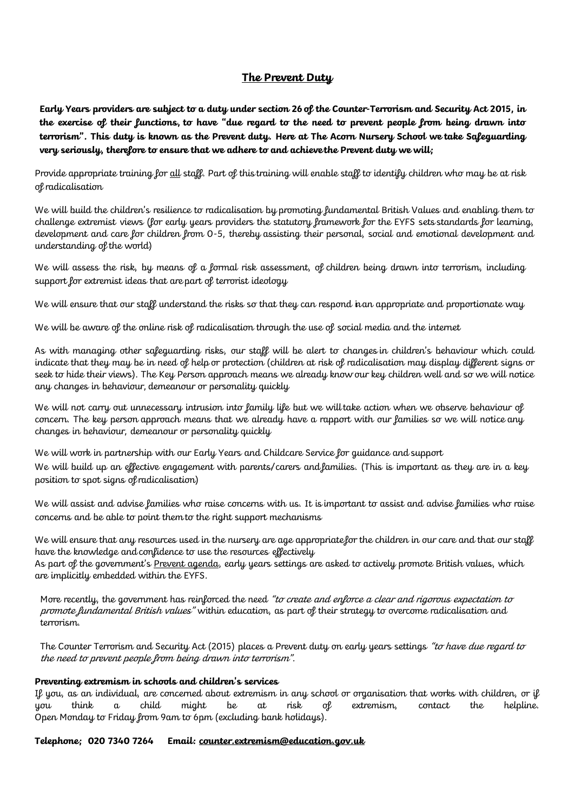### **The Prevent Duty**

**Early Years providers are subject to a duty under section 26 of the Counter-Terrorism and Security Act 2015, in the exercise of their functions, to have "due regard to the need to prevent people from being drawn into terrorism". This duty is known as the Prevent duty. Here at The Acorn Nursery School we take Safeguarding very seriously, therefore to ensure that we adhere to and achieve the Prevent duty we will;**

Provide appropriate training for <u>all</u> staff. Part of this training will enable staff to identify children who may be at risk of radicalisation

We will build the children's resilience to radicalisation by promoting fundamental British Values and enabling them to challenge extremist views (for early years providers the statutory framework for the EYFS sets standards for learning, development and care for children from 0-5, thereby assisting their personal, social and emotional development and understanding of the world)

We will assess the risk, by means of a formal risk assessment, of children being drawn into terrorism, including support for extremist ideas that are part of terrorist ideology

We will ensure that our staff understand the risks so that they can respond inan appropriate and proportionate way

We will be aware of the online risk of radicalisation through the use of social media and the internet

As with managing other safeguarding risks, our staff will be alert to changes in children's behaviour which could indicate that they may be in need of help or protection (children at risk of radicalisation may display different signs or seek to hide their views). The Key Person approach means we already know our key children well and so we will notice any changes in behaviour, demeanour or personality quickly

We will not carry out unnecessary intrusion into family life but we will take action when we observe behaviour of concern. The key person approach means that we already have a rapport with our families so we will notice any changes in behaviour, demeanour or personality quickly

We will work in partnership with our Early Years and Childcare Service for guidance and support We will build up an effective engagement with parents/carers and families. (This is important as they are in a key position to spot signs of radicalisation)

We will assist and advise families who raise concerns with us. It is important to assist and advise families who raise concerns and be able to point them to the right support mechanisms

We will ensure that any resources used in the nursery are age appropriate for the children in our care and that our staff have the knowledge and confidence to use the resources effectively

As part of the government's <u>Prevent agenda</u>, early years settings are asked to actively promote British values, which are implicitly embedded within the EYFS.

More recently, the government has reinforced the need "to create and enforce a clear and rigorous expectation to promote fundamental British values" within education, as part of their strategy to overcome radicalisation and terrorism.

The Counter Terrorism and Security Act (2015) places a Prevent duty on early years settings "to have due regard to the need to prevent people from being drawn into terrorism".

#### **Preventing extremism in schools and children's services**

If you, as an individual, are concerned about extremism in any school or organisation that works with children, or if you think a child might be at risk of extremism, contact the helpline. Open Monday to Friday from 9am to 6pm (excluding bank holidays).

**Telephone; 020 7340 7264 Email: [counter.extremism@education.gov.uk](mailto:counter.extremism@education.gov.uk)**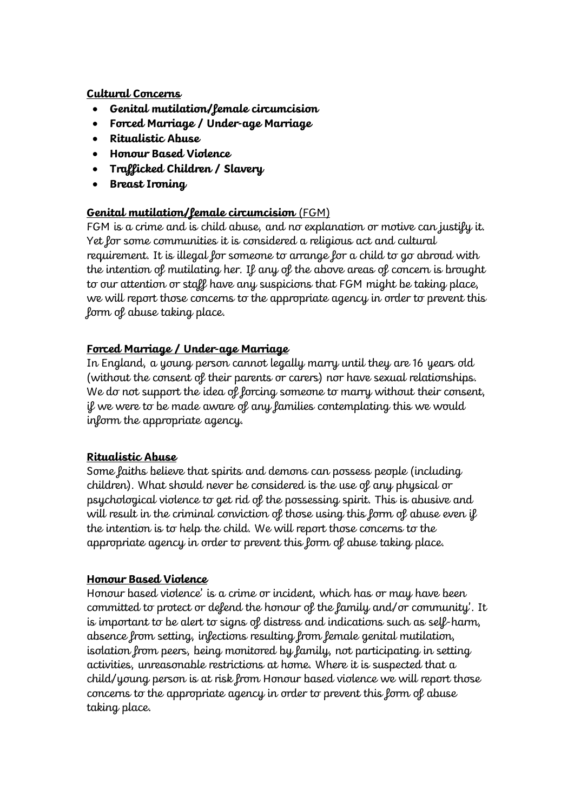### **Cultural Concerns**

- **Genital mutilation/female circumcision**
- **Forced Marriage / Under-age Marriage**
- **Ritualistic Abuse**
- **Honour Based Violence**
- **Trafficked Children / Slavery**
- **Breast Ironing**

## **Genital mutilation/female circumcision** (FGM)

FGM is a crime and is child abuse, and no explanation or motive can justify it. Yet for some communities it is considered a religious act and cultural requirement. It is illegal for someone to arrange for a child to go abroad with the intention of mutilating her. If any of the above areas of concern is brought to our attention or staff have any suspicions that FGM might be taking place, we will report those concerns to the appropriate agency in order to prevent this form of abuse taking place.

## **Forced Marriage / Under-age Marriage**

In England, a young person cannot legally marry until they are 16 years old (without the consent of their parents or carers) nor have sexual relationships. We do not support the idea of forcing someone to marry without their consent, if we were to be made aware of any families contemplating this we would inform the appropriate agency.

## **Ritualistic Abuse**

Some faiths believe that spirits and demons can possess people (including children). What should never be considered is the use of any physical or psychological violence to get rid of the possessing spirit. This is abusive and will result in the criminal conviction of those using this form of abuse even if the intention is to help the child. We will report those concerns to the appropriate agency in order to prevent this form of abuse taking place.

## **Honour Based Violence**

Honour based violence' is a crime or incident, which has or may have been committed to protect or defend the honour of the family and/or community'. It is important to be alert to signs of distress and indications such as self-harm, absence from setting, infections resulting from female genital mutilation, isolation from peers, being monitored by family, not participating in setting activities, unreasonable restrictions at home. Where it is suspected that a child/young person is at risk from Honour based violence we will report those concerns to the appropriate agency in order to prevent this form of abuse taking place.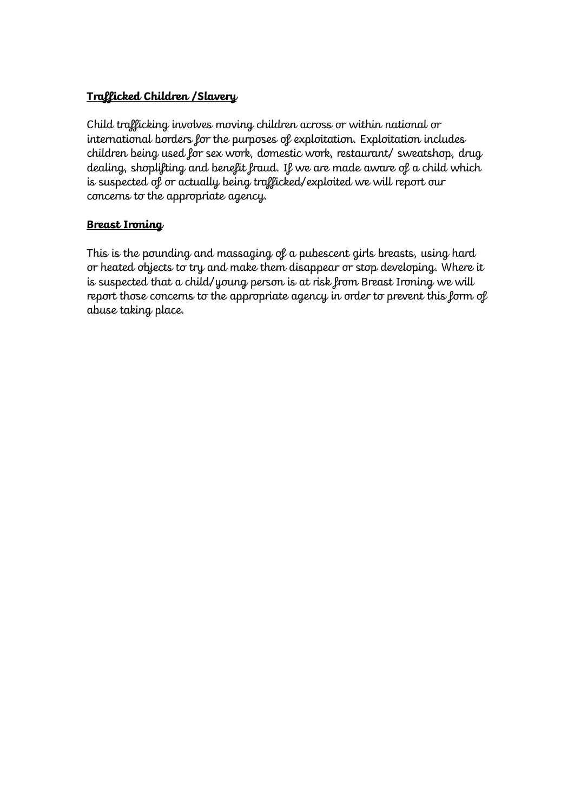## **Trafficked Children /Slavery**

Child trafficking involves moving children across or within national or international borders for the purposes of exploitation. Exploitation includes children being used for sex work, domestic work, restaurant/ sweatshop, drug dealing, shoplifting and benefit fraud. If we are made aware of a child which is suspected of or actually being trafficked/exploited we will report our concerns to the appropriate agency.

### **Breast Ironing**

This is the pounding and massaging of a pubescent girls breasts, using hard or heated objects to try and make them disappear or stop developing. Where it is suspected that a child/young person is at risk from Breast Ironing we will report those concerns to the appropriate agency in order to prevent this form of abuse taking place.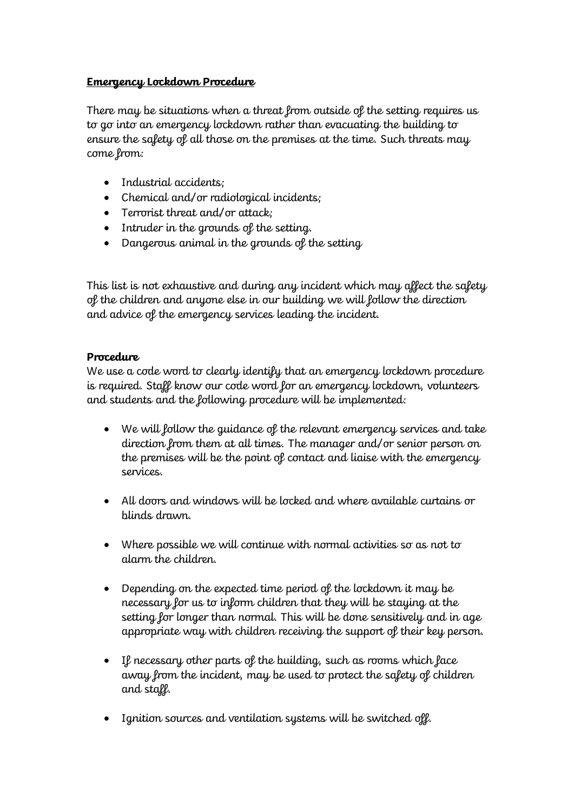### **Emergency Lockdown Procedure**

There may be situations when a threat from outside of the setting requires us to go into an emergency lockdown rather than evacuating the building to ensure the safety of all those on the premises at the time. Such threats may come from:

- Industrial accidents;
- Chemical and/or radiological incidents;
- Terrorist threat and/or attack;
- Intruder in the grounds of the setting.
- Dangerous animal in the grounds of the setting

This list is not exhaustive and during any incident which may affect the safety of the children and anyone else in our building we will follow the direction and advice of the emergency services leading the incident.

### **Procedure**

We use a code word to clearly identify that an emergency lockdown procedure is required. Staff know our code word for an emergency lockdown, volunteers and students and the following procedure will be implemented:

- We will follow the guidance of the relevant emergency services and take direction from them at all times. The manager and/or senior person on the premises will be the point of contact and liaise with the emergency services.
- All doors and windows will be locked and where available curtains or blinds drawn.
- Where possible we will continue with normal activities so as not to alarm the children.
- Depending on the expected time period of the lockdown it may be necessary for us to inform children that they will be staying at the setting for longer than normal. This will be done sensitively and in age appropriate way with children receiving the support of their key person.
- If necessary other parts of the building, such as rooms which face away from the incident, may be used to protect the safety of children and staff.
- Ignition sources and ventilation systems will be switched off.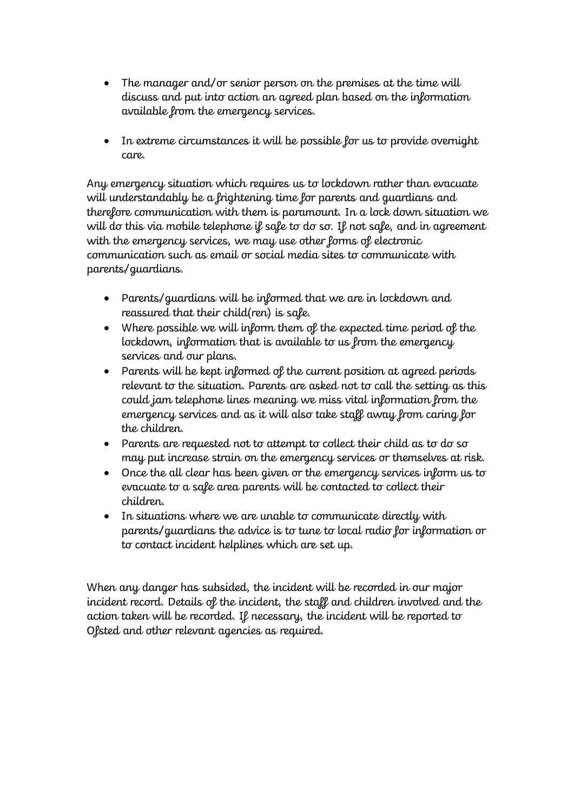- The manager and/or senior person on the premises at the time will discuss and put into action an agreed plan based on the information available from the emergency services.
- In extreme circumstances it will be possible for us to provide overnight care.

Any emergency situation which requires us to lockdown rather than evacuate will understandably be a frightening time for parents and guardians and therefore communication with them is paramount. In a lock down situation we will do this via mobile telephone if safe to do so. If not safe, and in agreement with the emergency services, we may use other forms of electronic communication such as email or social media sites to communicate with parents/guardians.

- Parents/guardians will be informed that we are in lockdown and reassured that their child(ren) is safe.
- Where possible we will inform them of the expected time period of the lockdown, information that is available to us from the emergency services and our plans.
- Parents will be kept informed of the current position at agreed periods relevant to the situation. Parents are asked not to call the setting as this could jam telephone lines meaning we miss vital information from the emergency services and as it will also take staff away from caring for the children.
- Parents are requested not to attempt to collect their child as to do so may put increase strain on the emergency services or themselves at risk.
- Once the all clear has been given or the emergency services inform us to evacuate to a safe area parents will be contacted to collect their children.
- In situations where we are unable to communicate directly with parents/guardians the advice is to tune to local radio for information or to contact incident helplines which are set up.

When any danger has subsided, the incident will be recorded in our major incident record. Details of the incident, the staff and children involved and the action taken will be recorded. If necessary, the incident will be reported to Ofsted and other relevant agencies as required.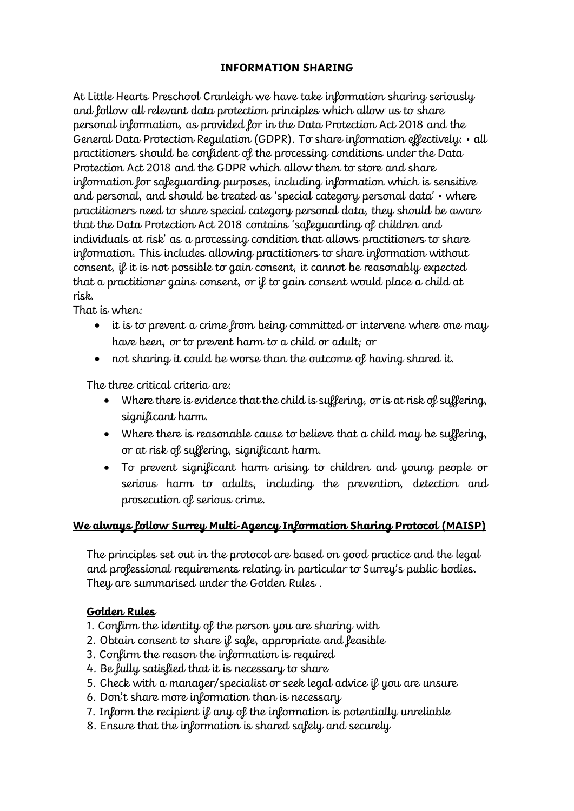### **INFORMATION SHARING**

At Little Hearts Preschool Cranleigh we have take information sharing seriously and follow all relevant data protection principles which allow us to share personal information, as provided for in the Data Protection Act 2018 and the General Data Protection Regulation (GDPR). To share information effectively: • all practitioners should be confident of the processing conditions under the Data Protection Act 2018 and the GDPR which allow them to store and share information for safeguarding purposes, including information which is sensitive and personal, and should be treated as 'special category personal data' • where practitioners need to share special category personal data, they should be aware that the Data Protection Act 2018 contains 'safeguarding of children and individuals at risk' as a processing condition that allows practitioners to share information. This includes allowing practitioners to share information without consent, if it is not possible to gain consent, it cannot be reasonably expected that a practitioner gains consent, or if to gain consent would place a child at risk.

That is when:

- it is to prevent a crime from being committed or intervene where one may have been, or to prevent harm to a child or adult; or
- not sharing it could be worse than the outcome of having shared it.

The three critical criteria are:

- Where there is evidence that the child is suffering, or is at risk of suffering, significant harm.
- Where there is reasonable cause to believe that a child may be suffering, or at risk of suffering, significant harm.
- To prevent significant harm arising to children and young people or serious harm to adults, including the prevention, detection and prosecution of serious crime.

## **We always follow Surrey Multi-Agency Information Sharing Protocol (MAISP)**

The principles set out in the protocol are based on good practice and the legal and professional requirements relating in particular to Surrey's public bodies. They are summarised under the Golden Rules .

## **Golden Rules**

- 1. Confirm the identity of the person you are sharing with
- 2. Obtain consent to share if safe, appropriate and feasible
- 3. Confirm the reason the information is required
- 4. Be fully satisfied that it is necessary to share
- 5. Check with a manager/specialist or seek legal advice if you are unsure
- 6. Don't share more information than is necessary
- 7. Inform the recipient if any of the information is potentially unreliable
- 8. Ensure that the information is shared safely and securely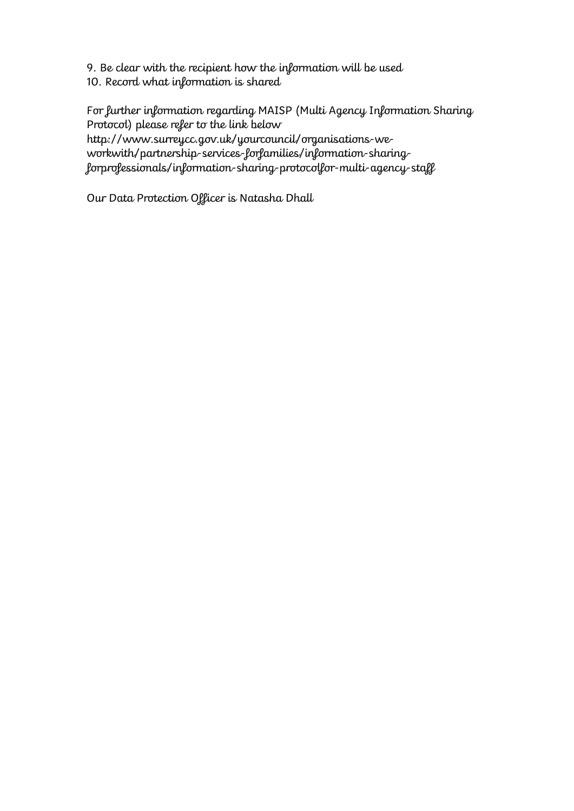- 9. Be clear with the recipient how the information will be used
- 10. Record what information is shared

For further information regarding MAISP (Multi Agency Information Sharing Protocol) please refer to the link below

http://www.surreycc.gov.uk/yourcouncil/organisations-weworkwith/partnership-services-forfamilies/information-sharingforprofessionals/information-sharing-protocolfor-multi-agency-staff

Our Data Protection Officer is Natasha Dhall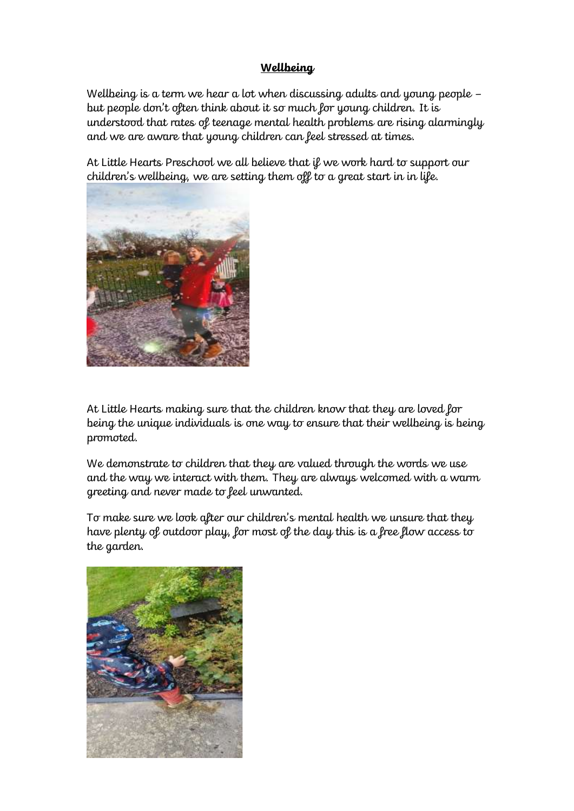### **Wellbeing**

Wellbeing is a term we hear a lot when discussing adults and young people – but people don't often think about it so much for young children. It is understood that rates of teenage mental health problems are rising alarmingly and we are aware that young children can feel stressed at times.

At Little Hearts Preschool we all believe that if we work hard to support our children's wellbeing, we are setting them off to a great start in in life.



At Little Hearts making sure that the children know that they are loved for being the unique individuals is one way to ensure that their wellbeing is being promoted.

We demonstrate to children that they are valued through the words we use and the way we interact with them. They are always welcomed with a warm greeting and never made to feel unwanted.

To make sure we look after our children's mental health we unsure that they have plenty of outdoor play, for most of the day this is a free flow access to the garden.

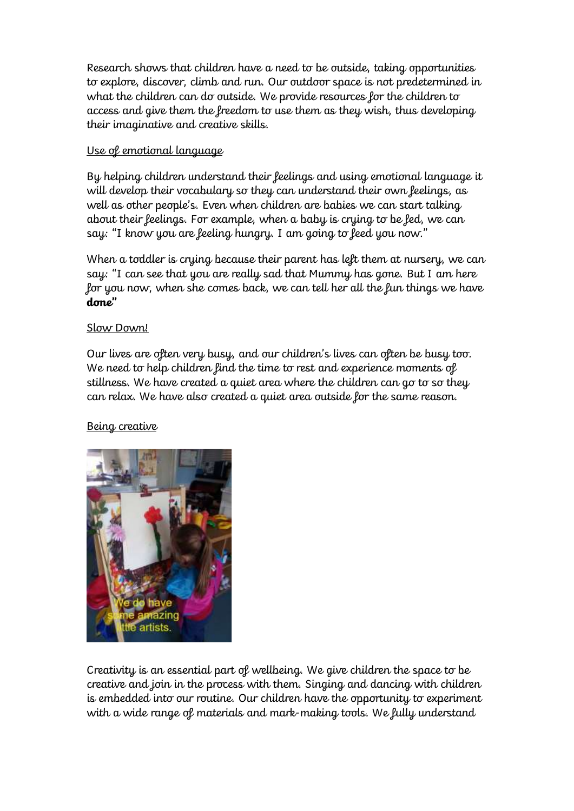Research shows that children have a need to be outside, taking opportunities to explore, discover, climb and run. Our outdoor space is not predetermined in what the children can do outside. We provide resources for the children to access and give them the freedom to use them as they wish, thus developing their imaginative and creative skills.

## Use of emotional language

By helping children understand their feelings and using emotional language it will develop their vocabulary so they can understand their own feelings, as well as other people's. Even when children are babies we can start talking about their feelings. For example, when a baby is crying to be fed, we can say: "I know you are feeling hungry. I am going to feed you now."

When a toddler is crying because their parent has left them at nursery, we can say: "I can see that you are really sad that Mummy has gone. But I am here for you now, when she comes back, we can tell her all the fun things we have **done"**

## Slow Down!

Our lives are often very busy, and our children's lives can often be busy too. We need to help children find the time to rest and experience moments of stillness. We have created a quiet area where the children can go to so they can relax. We have also created a quiet area outside for the same reason.

## Being creative



Creativity is an essential part of wellbeing. We give children the space to be creative and join in the process with them. Singing and dancing with children is embedded into our routine. Our children have the opportunity to experiment with a wide range of materials and mark-making tools. We fully understand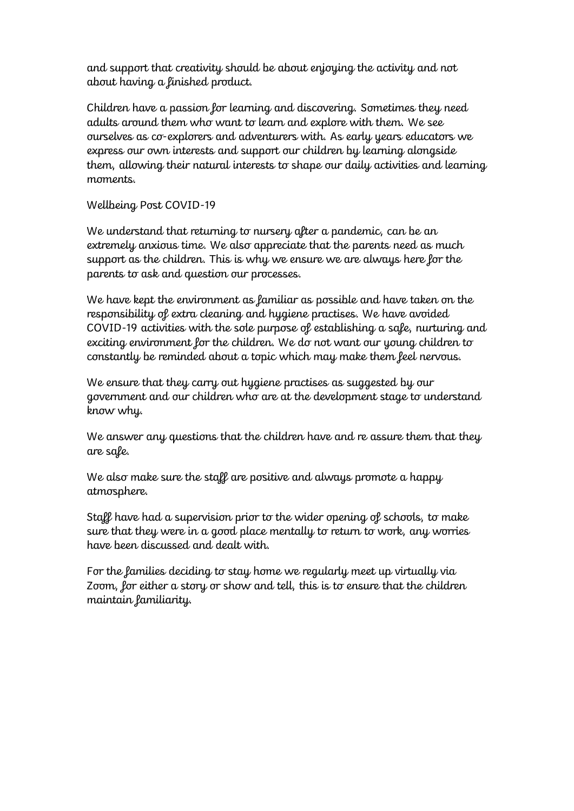and support that creativity should be about enjoying the activity and not about having a finished product.

Children have a passion for learning and discovering. Sometimes they need adults around them who want to learn and explore with them. We see ourselves as co-explorers and adventurers with. As early years educators we express our own interests and support our children by learning alongside them, allowing their natural interests to shape our daily activities and learning moments.

Wellbeing Post COVID-19

We understand that returning to nursery after a pandemic, can be an extremely anxious time. We also appreciate that the parents need as much support as the children. This is why we ensure we are always here for the parents to ask and question our processes.

We have kept the environment as familiar as possible and have taken on the responsibility of extra cleaning and hygiene practises. We have avoided COVID-19 activities with the sole purpose of establishing a safe, nurturing and exciting environment for the children. We do not want our young children to constantly be reminded about a topic which may make them feel nervous.

We ensure that they carry out hygiene practises as suggested by our government and our children who are at the development stage to understand know why.

We answer any questions that the children have and re assure them that they are safe.

We also make sure the staff are positive and always promote a happy atmosphere.

Staff have had a supervision prior to the wider opening of schools, to make sure that they were in a good place mentally to return to work, any worries have been discussed and dealt with.

For the families deciding to stay home we regularly meet up virtually via Zoom, for either a story or show and tell, this is to ensure that the children maintain familiarity.